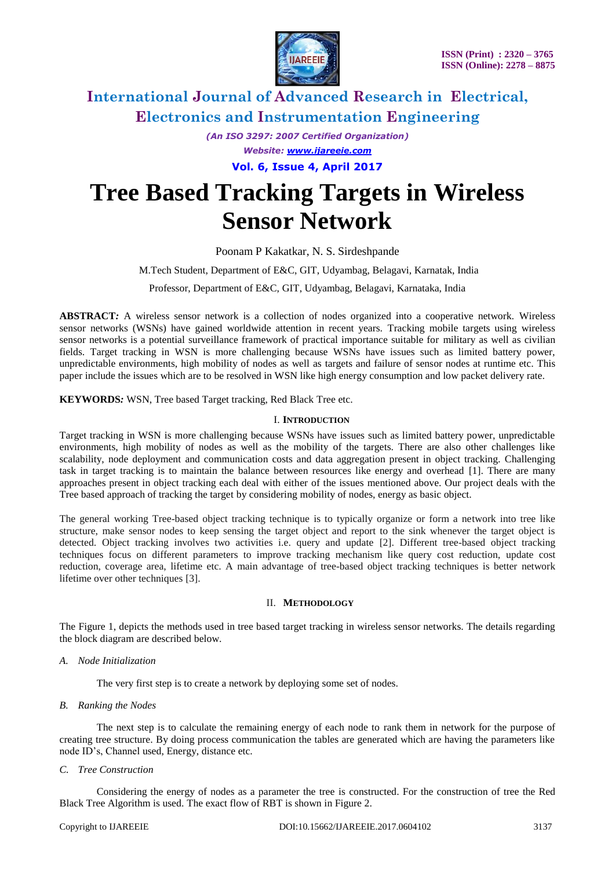

*(An ISO 3297: 2007 Certified Organization) Website: [www.ijareeie.com](http://www.ijareeie.com/)* **Vol. 6, Issue 4, April 2017**

# **Tree Based Tracking Targets in Wireless Sensor Network**

Poonam P Kakatkar, N. S. Sirdeshpande

M.Tech Student, Department of E&C, GIT, Udyambag, Belagavi, Karnatak, India

Professor, Department of E&C, GIT, Udyambag, Belagavi, Karnataka, India

**ABSTRACT***:* A wireless sensor network is a collection of nodes organized into a cooperative network. Wireless sensor networks (WSNs) have gained worldwide attention in recent years. Tracking mobile targets using wireless sensor networks is a potential surveillance framework of practical importance suitable for military as well as civilian fields. Target tracking in WSN is more challenging because WSNs have issues such as limited battery power, unpredictable environments, high mobility of nodes as well as targets and failure of sensor nodes at runtime etc. This paper include the issues which are to be resolved in WSN like high energy consumption and low packet delivery rate.

**KEYWORDS***:* WSN, Tree based Target tracking, Red Black Tree etc.

#### I. **INTRODUCTION**

Target tracking in WSN is more challenging because WSNs have issues such as limited battery power, unpredictable environments, high mobility of nodes as well as the mobility of the targets. There are also other challenges like scalability, node deployment and communication costs and data aggregation present in object tracking. Challenging task in target tracking is to maintain the balance between resources like energy and overhead [1]. There are many approaches present in object tracking each deal with either of the issues mentioned above. Our project deals with the Tree based approach of tracking the target by considering mobility of nodes, energy as basic object.

The general working Tree-based object tracking technique is to typically organize or form a network into tree like structure, make sensor nodes to keep sensing the target object and report to the sink whenever the target object is detected. Object tracking involves two activities i.e. query and update [2]. Different tree-based object tracking techniques focus on different parameters to improve tracking mechanism like query cost reduction, update cost reduction, coverage area, lifetime etc. A main advantage of tree-based object tracking techniques is better network lifetime over other techniques [3].

#### II. **METHODOLOGY**

The Figure 1, depicts the methods used in tree based target tracking in wireless sensor networks. The details regarding the block diagram are described below.

*A. Node Initialization*

The very first step is to create a network by deploying some set of nodes.

*B. Ranking the Nodes*

The next step is to calculate the remaining energy of each node to rank them in network for the purpose of creating tree structure. By doing process communication the tables are generated which are having the parameters like node ID's, Channel used, Energy, distance etc.

*C. Tree Construction*

Considering the energy of nodes as a parameter the tree is constructed. For the construction of tree the Red Black Tree Algorithm is used. The exact flow of RBT is shown in Figure 2.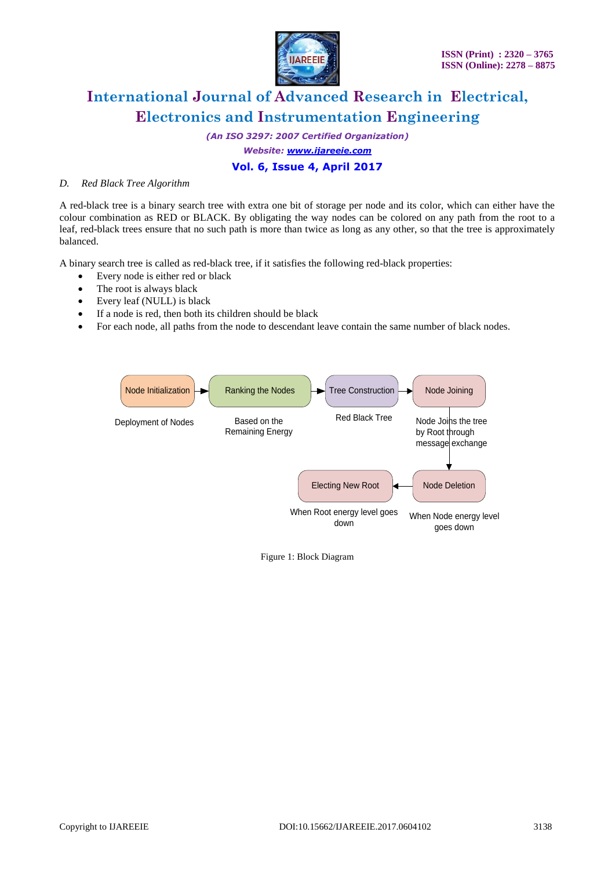

*(An ISO 3297: 2007 Certified Organization)*

*Website: [www.ijareeie.com](http://www.ijareeie.com/)*

### **Vol. 6, Issue 4, April 2017**

### *D. Red Black Tree Algorithm*

A red-black tree is a binary search tree with extra one bit of storage per node and its color, which can either have the colour combination as RED or BLACK. By obligating the way nodes can be colored on any path from the root to a leaf, red-black trees ensure that no such path is more than twice as long as any other, so that the tree is approximately balanced.

A binary search tree is called as red-black tree, if it satisfies the following red-black properties:

- Every node is either red or black
- The root is always black
- Every leaf (NULL) is black
- If a node is red, then both its children should be black
- For each node, all paths from the node to descendant leave contain the same number of black nodes.



Figure 1: Block Diagram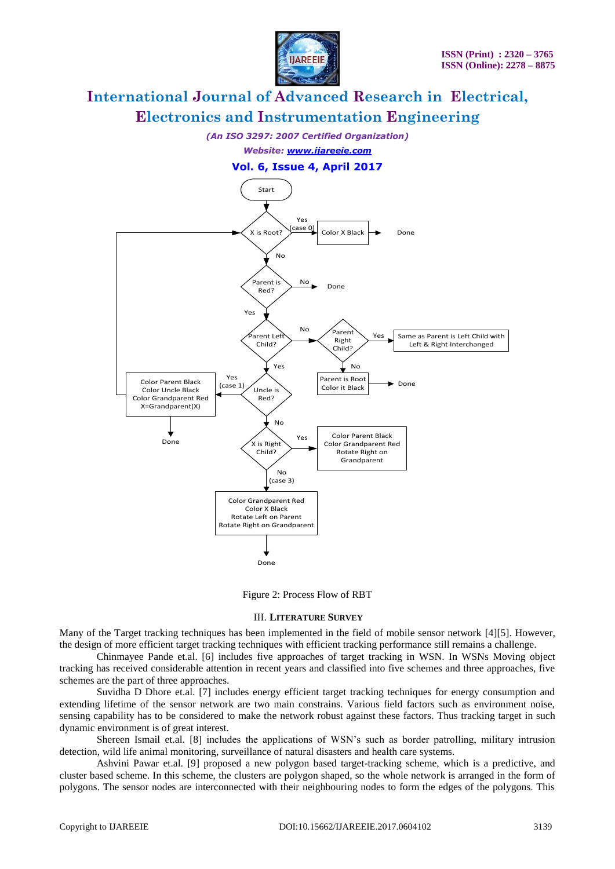

*(An ISO 3297: 2007 Certified Organization)*

*Website: [www.ijareeie.com](http://www.ijareeie.com/)*

**Vol. 6, Issue 4, April 2017**



Figure 2: Process Flow of RBT

#### III. **LITERATURE SURVEY**

Many of the Target tracking techniques has been implemented in the field of mobile sensor network [4][5]. However, the design of more efficient target tracking techniques with efficient tracking performance still remains a challenge.

Chinmayee Pande et.al. [6] includes five approaches of target tracking in WSN. In WSNs Moving object tracking has received considerable attention in recent years and classified into five schemes and three approaches, five schemes are the part of three approaches.

Suvidha D Dhore et.al. [7] includes energy efficient target tracking techniques for energy consumption and extending lifetime of the sensor network are two main constrains. Various field factors such as environment noise, sensing capability has to be considered to make the network robust against these factors. Thus tracking target in such dynamic environment is of great interest.

Shereen Ismail et.al. [8] includes the applications of WSN's such as border patrolling, military intrusion detection, wild life animal monitoring, surveillance of natural disasters and health care systems.

Ashvini Pawar et.al. [9] proposed a new polygon based target-tracking scheme, which is a predictive, and cluster based scheme. In this scheme, the clusters are polygon shaped, so the whole network is arranged in the form of polygons. The sensor nodes are interconnected with their neighbouring nodes to form the edges of the polygons. This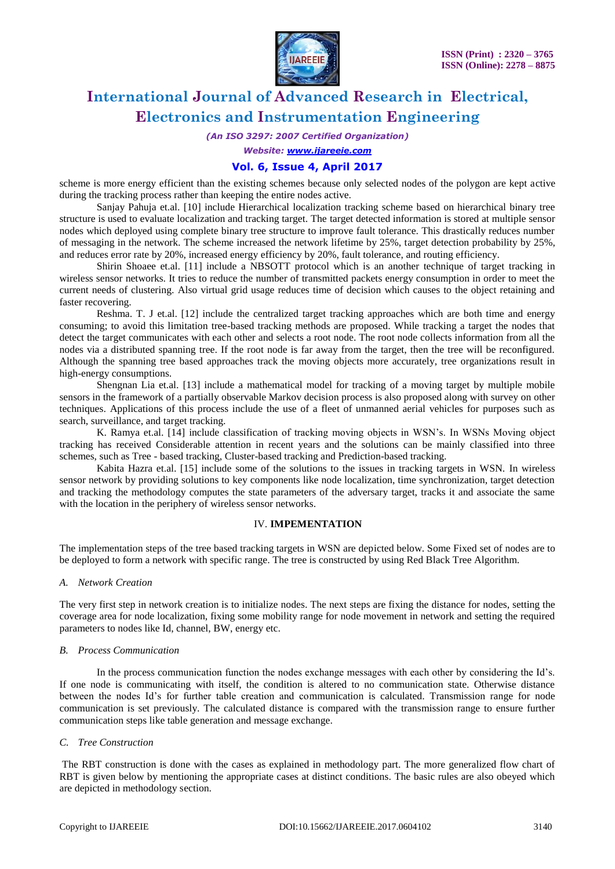

*(An ISO 3297: 2007 Certified Organization)*

*Website: [www.ijareeie.com](http://www.ijareeie.com/)*

### **Vol. 6, Issue 4, April 2017**

scheme is more energy efficient than the existing schemes because only selected nodes of the polygon are kept active during the tracking process rather than keeping the entire nodes active.

Sanjay Pahuja et.al. [10] include Hierarchical localization tracking scheme based on hierarchical binary tree structure is used to evaluate localization and tracking target. The target detected information is stored at multiple sensor nodes which deployed using complete binary tree structure to improve fault tolerance. This drastically reduces number of messaging in the network. The scheme increased the network lifetime by 25%, target detection probability by 25%, and reduces error rate by 20%, increased energy efficiency by 20%, fault tolerance, and routing efficiency.

Shirin Shoaee et.al. [11] include a NBSOTT protocol which is an another technique of target tracking in wireless sensor networks. It tries to reduce the number of transmitted packets energy consumption in order to meet the current needs of clustering. Also virtual grid usage reduces time of decision which causes to the object retaining and faster recovering.

Reshma. T. J et.al. [12] include the centralized target tracking approaches which are both time and energy consuming; to avoid this limitation tree-based tracking methods are proposed. While tracking a target the nodes that detect the target communicates with each other and selects a root node. The root node collects information from all the nodes via a distributed spanning tree. If the root node is far away from the target, then the tree will be reconfigured. Although the spanning tree based approaches track the moving objects more accurately, tree organizations result in high-energy consumptions.

Shengnan Lia et.al. [13] include a mathematical model for tracking of a moving target by multiple mobile sensors in the framework of a partially observable Markov decision process is also proposed along with survey on other techniques. Applications of this process include the use of a fleet of unmanned aerial vehicles for purposes such as search, surveillance, and target tracking.

K. Ramya et.al. [14] include classification of tracking moving objects in WSN's. In WSNs Moving object tracking has received Considerable attention in recent years and the solutions can be mainly classified into three schemes, such as Tree - based tracking, Cluster-based tracking and Prediction-based tracking.

Kabita Hazra et.al. [15] include some of the solutions to the issues in tracking targets in WSN. In wireless sensor network by providing solutions to key components like node localization, time synchronization, target detection and tracking the methodology computes the state parameters of the adversary target, tracks it and associate the same with the location in the periphery of wireless sensor networks.

#### IV. **IMPEMENTATION**

The implementation steps of the tree based tracking targets in WSN are depicted below. Some Fixed set of nodes are to be deployed to form a network with specific range. The tree is constructed by using Red Black Tree Algorithm.

#### *A. Network Creation*

The very first step in network creation is to initialize nodes. The next steps are fixing the distance for nodes, setting the coverage area for node localization, fixing some mobility range for node movement in network and setting the required parameters to nodes like Id, channel, BW, energy etc.

#### *B. Process Communication*

In the process communication function the nodes exchange messages with each other by considering the Id's. If one node is communicating with itself, the condition is altered to no communication state. Otherwise distance between the nodes Id's for further table creation and communication is calculated. Transmission range for node communication is set previously. The calculated distance is compared with the transmission range to ensure further communication steps like table generation and message exchange.

#### *C. Tree Construction*

The RBT construction is done with the cases as explained in methodology part. The more generalized flow chart of RBT is given below by mentioning the appropriate cases at distinct conditions. The basic rules are also obeyed which are depicted in methodology section.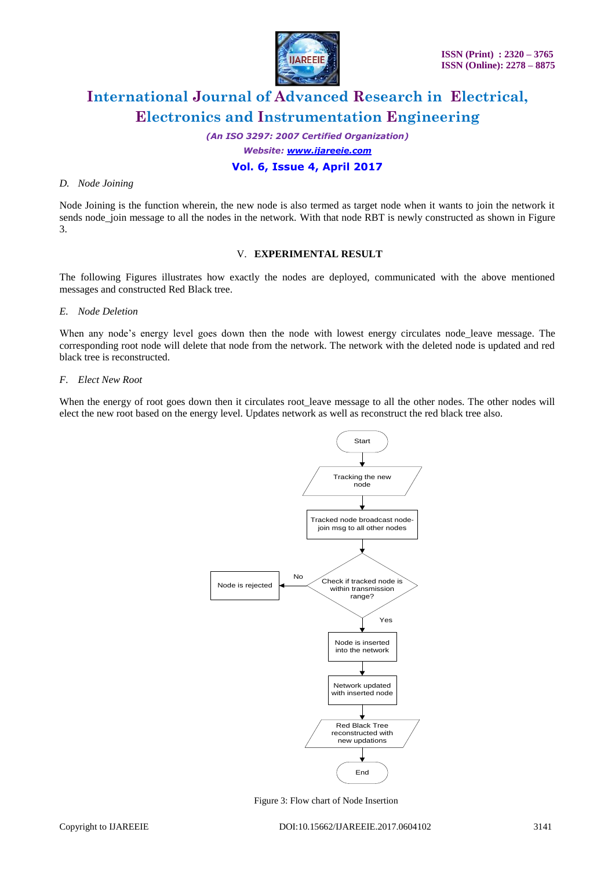

*(An ISO 3297: 2007 Certified Organization)*

*Website: [www.ijareeie.com](http://www.ijareeie.com/)*

### **Vol. 6, Issue 4, April 2017**

### *D. Node Joining*

Node Joining is the function wherein, the new node is also termed as target node when it wants to join the network it sends node\_join message to all the nodes in the network. With that node RBT is newly constructed as shown in Figure 3.

### V. **EXPERIMENTAL RESULT**

The following Figures illustrates how exactly the nodes are deployed, communicated with the above mentioned messages and constructed Red Black tree.

### *E. Node Deletion*

When any node's energy level goes down then the node with lowest energy circulates node leave message. The corresponding root node will delete that node from the network. The network with the deleted node is updated and red black tree is reconstructed.

### *F. Elect New Root*

When the energy of root goes down then it circulates root leave message to all the other nodes. The other nodes will elect the new root based on the energy level. Updates network as well as reconstruct the red black tree also.



Figure 3: Flow chart of Node Insertion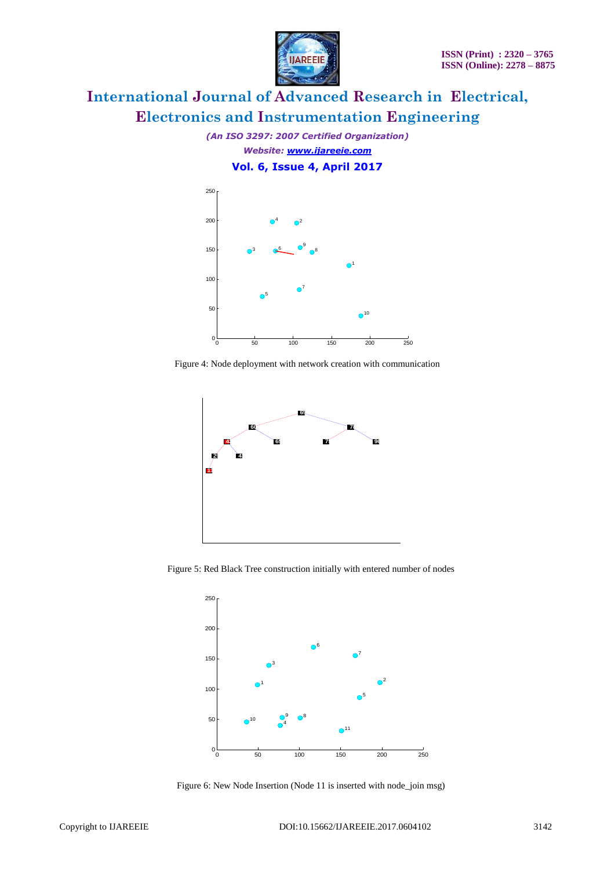

*(An ISO 3297: 2007 Certified Organization) Website: [www.ijareeie.com](http://www.ijareeie.com/)* **Vol. 6, Issue 4, April 2017**



Figure 4: Node deployment with network creation with communication



Figure 5: Red Black Tree construction initially with entered number of nodes



Figure 6: New Node Insertion (Node 11 is inserted with node\_join msg)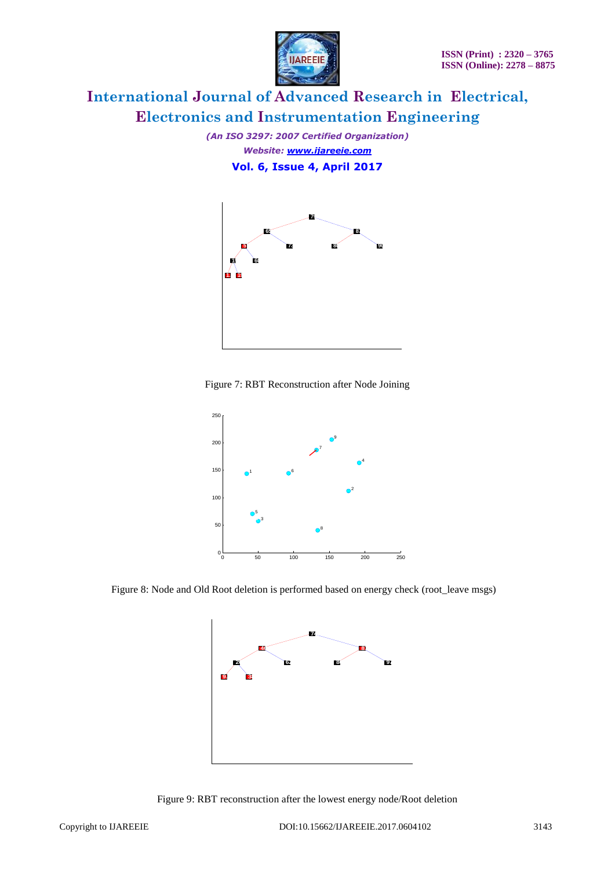

*(An ISO 3297: 2007 Certified Organization) Website: [www.ijareeie.com](http://www.ijareeie.com/)* **Vol. 6, Issue 4, April 2017**



Figure 7: RBT Reconstruction after Node Joining



Figure 8: Node and Old Root deletion is performed based on energy check (root\_leave msgs)



Figure 9: RBT reconstruction after the lowest energy node/Root deletion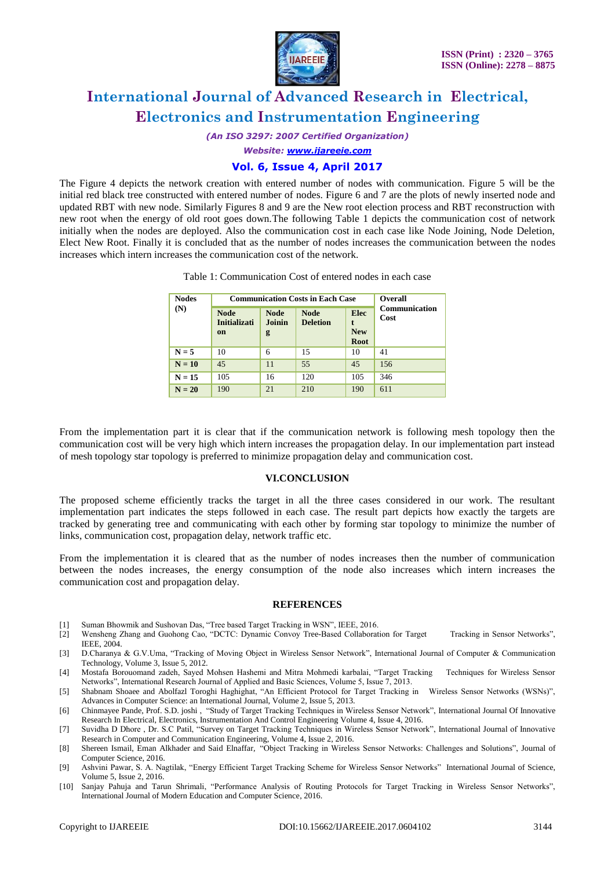

*(An ISO 3297: 2007 Certified Organization)*

*Website: [www.ijareeie.com](http://www.ijareeie.com/)*

### **Vol. 6, Issue 4, April 2017**

The Figure 4 depicts the network creation with entered number of nodes with communication. Figure 5 will be the initial red black tree constructed with entered number of nodes. Figure 6 and 7 are the plots of newly inserted node and updated RBT with new node. Similarly Figures 8 and 9 are the New root election process and RBT reconstruction with new root when the energy of old root goes down.The following Table 1 depicts the communication cost of network initially when the nodes are deployed. Also the communication cost in each case like Node Joining, Node Deletion, Elect New Root. Finally it is concluded that as the number of nodes increases the communication between the nodes increases which intern increases the communication cost of the network.

| <b>Nodes</b><br>(N) | <b>Communication Costs in Each Case</b>  |                            |                                |                                   | <b>Overall</b>               |
|---------------------|------------------------------------------|----------------------------|--------------------------------|-----------------------------------|------------------------------|
|                     | <b>Node</b><br><b>Initializati</b><br>on | <b>Node</b><br>Joinin<br>g | <b>Node</b><br><b>Deletion</b> | <b>Elec</b><br><b>New</b><br>Root | <b>Communication</b><br>Cost |
| $N = 5$             | 10                                       | 6                          | 15                             | 10                                | 41                           |
| $N = 10$            | 45                                       | 11                         | 55                             | 45                                | 156                          |
| $N = 15$            | 105                                      | 16                         | 120                            | 105                               | 346                          |
| $N = 20$            | 190                                      | 21                         | 210                            | 190                               | 611                          |

Table 1: Communication Cost of entered nodes in each case

From the implementation part it is clear that if the communication network is following mesh topology then the communication cost will be very high which intern increases the propagation delay. In our implementation part instead of mesh topology star topology is preferred to minimize propagation delay and communication cost.

### **VI.CONCLUSION**

The proposed scheme efficiently tracks the target in all the three cases considered in our work. The resultant implementation part indicates the steps followed in each case. The result part depicts how exactly the targets are tracked by generating tree and communicating with each other by forming star topology to minimize the number of links, communication cost, propagation delay, network traffic etc.

From the implementation it is cleared that as the number of nodes increases then the number of communication between the nodes increases, the energy consumption of the node also increases which intern increases the communication cost and propagation delay.

#### **REFERENCES**

- [1] Suman Bhowmik and Sushovan Das, "Tree based Target Tracking in WSN", IEEE, 2016.
- [2] Wensheng Zhang and Guohong Cao, "DCTC: Dynamic Convoy Tree-Based Collaboration for Target Tracking in Sensor Networks", IEEE, 2004.
- [3] D.Charanya & G.V.Uma, "Tracking of Moving Object in Wireless Sensor Network", International Journal of Computer & Communication Technology, Volume 3, Issue 5, 2012.
- [4] Mostafa Borouomand zadeh, Sayed Mohsen Hashemi and Mitra Mohmedi karbalai, "Target Tracking Techniques for Wireless Sensor Networks", International Research Journal of Applied and Basic Sciences, Volume 5, Issue 7, 2013.
- [5] Shabnam Shoaee and Abolfazl Toroghi Haghighat, "An Efficient Protocol for Target Tracking in Wireless Sensor Networks (WSNs)", Advances in Computer Science: an International Journal, Volume 2, Issue 5, 2013.
- [6] Chinmayee Pande, Prof. S.D. joshi , "Study of Target Tracking Techniques in Wireless Sensor Network", International Journal Of Innovative Research In Electrical, Electronics, Instrumentation And Control Engineering Volume 4, Issue 4, 2016.
- [7] Suvidha D Dhore , Dr. S.C Patil, "Survey on Target Tracking Techniques in Wireless Sensor Network", International Journal of Innovative Research in Computer and Communication Engineering, Volume 4, Issue 2, 2016.
- [8] Shereen Ismail, Eman Alkhader and Said Elnaffar, "Object Tracking in Wireless Sensor Networks: Challenges and Solutions", Journal of Computer Science, 2016.
- [9] Ashvini Pawar, S. A. Nagtilak, "Energy Efficient Target Tracking Scheme for Wireless Sensor Networks", International Journal of Science, Volume 5, Issue 2, 2016.
- [10] Sanjay Pahuja and Tarun Shrimali, "Performance Analysis of Routing Protocols for Target Tracking in Wireless Sensor Networks", International Journal of Modern Education and Computer Science, 2016.